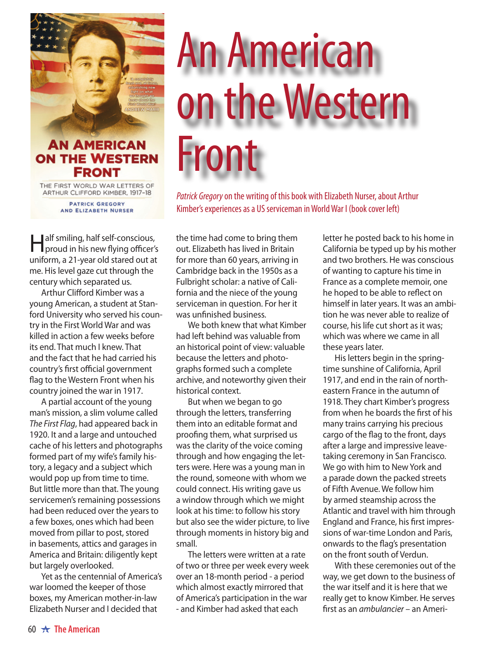

## **AN AMERICAN ON THE WESTERN FRONT**

THE FIRST WORLD WAR LETTERS OF ARTHUR CLIFFORD KIMBER, 1917-18

> **PATRICK GREGORY** AND ELIZABETH NURSER

Half smiling, half self-conscious, proud in his new flying officer's uniform, a 21-year old stared out at me. His level gaze cut through the century which separated us.

Arthur Clifford Kimber was a young American, a student at Stanford University who served his country in the First World War and was killed in action a few weeks before its end. That much I knew. That and the fact that he had carried his country's first official government flag to the Western Front when his country joined the war in 1917.

A partial account of the young man's mission, a slim volume called *The First Flag*, had appeared back in 1920. It and a large and untouched cache of his letters and photographs formed part of my wife's family history, a legacy and a subject which would pop up from time to time. But little more than that. The young servicemen's remaining possessions had been reduced over the years to a few boxes, ones which had been moved from pillar to post, stored in basements, attics and garages in America and Britain: diligently kept but largely overlooked.

Yet as the centennial of America's war loomed the keeper of those boxes, my American mother-in-law Elizabeth Nurser and I decided that

## An American on the Western Front

*Patrick Gregory* on the writing of this book with Elizabeth Nurser, about Arthur Kimber's experiences as a US serviceman in World War I (book cover left)

the time had come to bring them out. Elizabeth has lived in Britain for more than 60 years, arriving in Cambridge back in the 1950s as a Fulbright scholar: a native of California and the niece of the young serviceman in question. For her it was unfinished business.

We both knew that what Kimber had left behind was valuable from an historical point of view: valuable because the letters and photographs formed such a complete archive, and noteworthy given their historical context.

But when we began to go through the letters, transferring them into an editable format and proofing them, what surprised us was the clarity of the voice coming through and how engaging the letters were. Here was a young man in the round, someone with whom we could connect. His writing gave us a window through which we might look at his time: to follow his story but also see the wider picture, to live through moments in history big and small.

The letters were written at a rate of two or three per week every week over an 18-month period - a period which almost exactly mirrored that of America's participation in the war - and Kimber had asked that each

letter he posted back to his home in California be typed up by his mother and two brothers. He was conscious of wanting to capture his time in France as a complete memoir, one he hoped to be able to reflect on himself in later years. It was an ambition he was never able to realize of course, his life cut short as it was; which was where we came in all these years later.

His letters begin in the springtime sunshine of California, April 1917, and end in the rain of northeastern France in the autumn of 1918. They chart Kimber's progress from when he boards the first of his many trains carrying his precious cargo of the flag to the front, days after a large and impressive leavetaking ceremony in San Francisco. We go with him to New York and a parade down the packed streets of Fifth Avenue. We follow him by armed steamship across the Atlantic and travel with him through England and France, his first impressions of war-time London and Paris, onwards to the flag's presentation on the front south of Verdun.

With these ceremonies out of the way, we get down to the business of the war itself and it is here that we really get to know Kimber. He serves first as an *ambulancier* – an Ameri